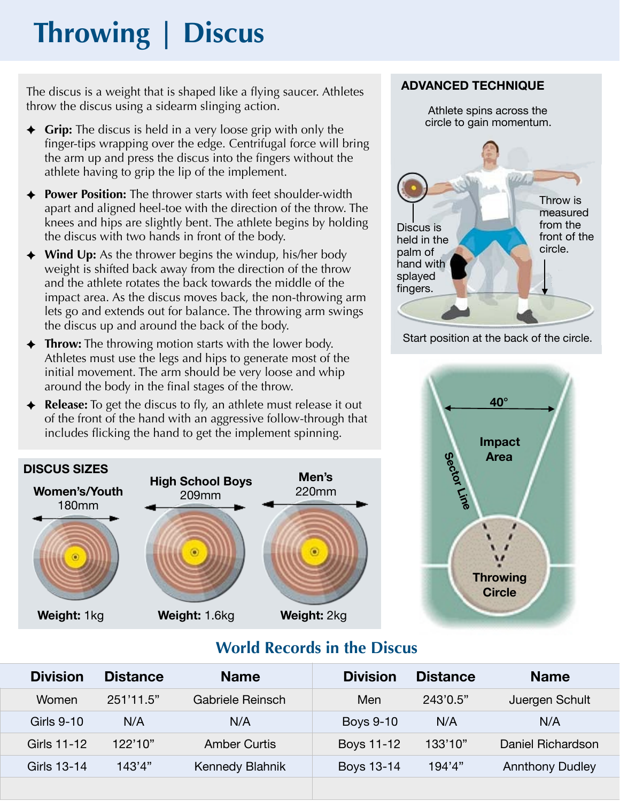# **Throwing | Discus**

The discus is a weight that is shaped like a flying saucer. Athletes throw the discus using a sidearm slinging action.

- ✦ **Grip:** The discus is held in a very loose grip with only the finger-tips wrapping over the edge. Centrifugal force will bring the arm up and press the discus into the fingers without the athlete having to grip the lip of the implement.
- ✦ **Power Position:** The thrower starts with feet shoulder-width apart and aligned heel-toe with the direction of the throw. The knees and hips are slightly bent. The athlete begins by holding the discus with two hands in front of the body.
- ✦ **Wind Up:** As the thrower begins the windup, his/her body weight is shifted back away from the direction of the throw and the athlete rotates the back towards the middle of the impact area. As the discus moves back, the non-throwing arm lets go and extends out for balance. The throwing arm swings the discus up and around the back of the body.
- ✦ **Throw:** The throwing motion starts with the lower body. Athletes must use the legs and hips to generate most of the initial movement. The arm should be very loose and whip around the body in the final stages of the throw.
- ✦ **Release:** To get the discus to fly, an athlete must release it out of the front of the hand with an aggressive follow-through that includes flicking the hand to get the implement spinning.



## **ADVANCED TECHNIQUE**



Start position at the back of the circle.



# **World Records in the Discus**

| <b>Division</b> | <b>Distance</b> | <b>Name</b>            | <b>Division</b>  | <b>Distance</b> | <b>Name</b>            |
|-----------------|-----------------|------------------------|------------------|-----------------|------------------------|
| Women           | 251'11.5"       | Gabriele Reinsch       | Men              | 243'0.5"        | Juergen Schult         |
| Girls 9-10      | N/A             | N/A                    | <b>Boys 9-10</b> | N/A             | N/A                    |
| Girls 11-12     | 122'10"         | <b>Amber Curtis</b>    | Boys 11-12       | 133'10"         | Daniel Richardson      |
| Girls 13-14     | 143'4"          | <b>Kennedy Blahnik</b> | Boys 13-14       | 194'4"          | <b>Annthony Dudley</b> |
|                 |                 |                        |                  |                 |                        |